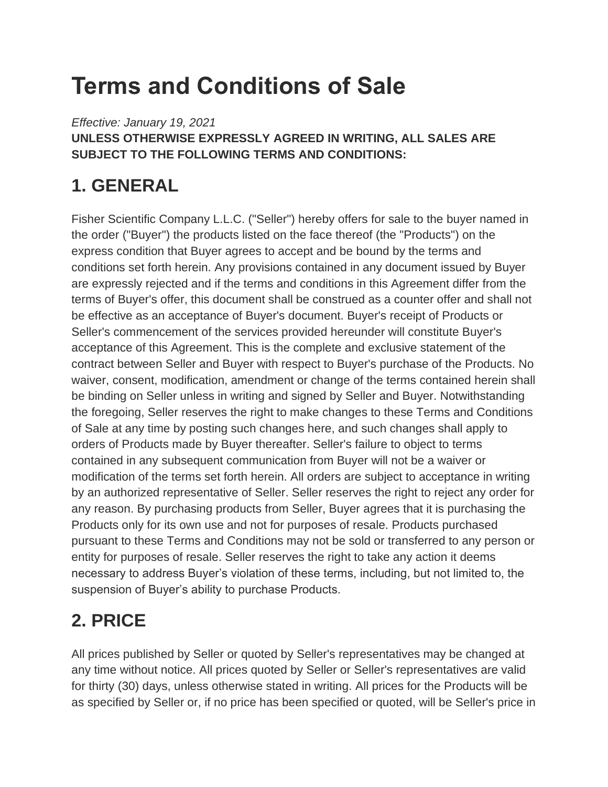# **Terms and Conditions of Sale**

*Effective: January 19, 2021* **UNLESS OTHERWISE EXPRESSLY AGREED IN WRITING, ALL SALES ARE SUBJECT TO THE FOLLOWING TERMS AND CONDITIONS:**

# **1. GENERAL**

Fisher Scientific Company L.L.C. ("Seller") hereby offers for sale to the buyer named in the order ("Buyer") the products listed on the face thereof (the "Products") on the express condition that Buyer agrees to accept and be bound by the terms and conditions set forth herein. Any provisions contained in any document issued by Buyer are expressly rejected and if the terms and conditions in this Agreement differ from the terms of Buyer's offer, this document shall be construed as a counter offer and shall not be effective as an acceptance of Buyer's document. Buyer's receipt of Products or Seller's commencement of the services provided hereunder will constitute Buyer's acceptance of this Agreement. This is the complete and exclusive statement of the contract between Seller and Buyer with respect to Buyer's purchase of the Products. No waiver, consent, modification, amendment or change of the terms contained herein shall be binding on Seller unless in writing and signed by Seller and Buyer. Notwithstanding the foregoing, Seller reserves the right to make changes to these Terms and Conditions of Sale at any time by posting such changes here, and such changes shall apply to orders of Products made by Buyer thereafter. Seller's failure to object to terms contained in any subsequent communication from Buyer will not be a waiver or modification of the terms set forth herein. All orders are subject to acceptance in writing by an authorized representative of Seller. Seller reserves the right to reject any order for any reason. By purchasing products from Seller, Buyer agrees that it is purchasing the Products only for its own use and not for purposes of resale. Products purchased pursuant to these Terms and Conditions may not be sold or transferred to any person or entity for purposes of resale. Seller reserves the right to take any action it deems necessary to address Buyer's violation of these terms, including, but not limited to, the suspension of Buyer's ability to purchase Products.

# **2. PRICE**

All prices published by Seller or quoted by Seller's representatives may be changed at any time without notice. All prices quoted by Seller or Seller's representatives are valid for thirty (30) days, unless otherwise stated in writing. All prices for the Products will be as specified by Seller or, if no price has been specified or quoted, will be Seller's price in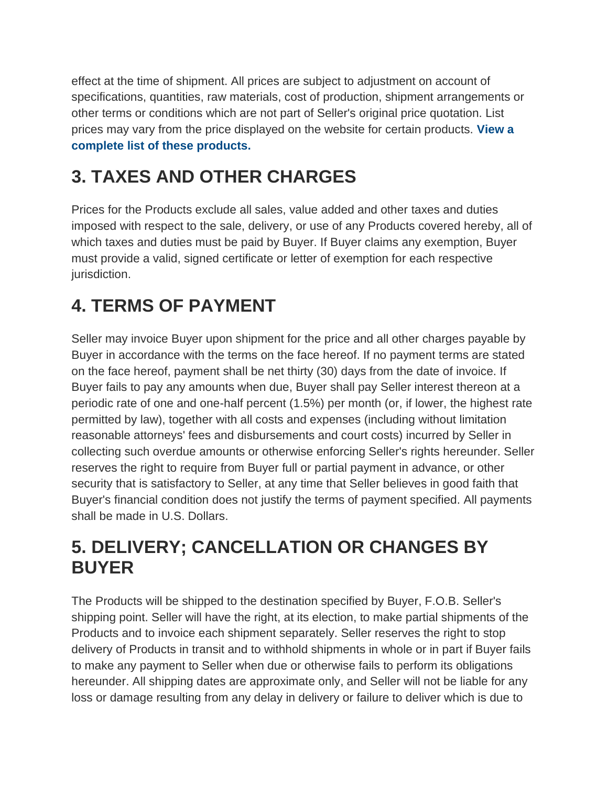effect at the time of shipment. All prices are subject to adjustment on account of specifications, quantities, raw materials, cost of production, shipment arrangements or other terms or conditions which are not part of Seller's original price quotation. List prices may vary from the price displayed on the website for certain products. **[View](https://beta-static.fishersci.com/content/dam/fishersci/en_US/documents/programs/scientific/regulatory-documents/terms-conditions/Revised-Terms-Conditions-Notice-Web-Pricing-Project-2019.pdf) a complete list of these [products.](https://beta-static.fishersci.com/content/dam/fishersci/en_US/documents/programs/scientific/regulatory-documents/terms-conditions/Revised-Terms-Conditions-Notice-Web-Pricing-Project-2019.pdf)**

# **3. TAXES AND OTHER CHARGES**

Prices for the Products exclude all sales, value added and other taxes and duties imposed with respect to the sale, delivery, or use of any Products covered hereby, all of which taxes and duties must be paid by Buyer. If Buyer claims any exemption, Buyer must provide a valid, signed certificate or letter of exemption for each respective jurisdiction.

### **4. TERMS OF PAYMENT**

Seller may invoice Buyer upon shipment for the price and all other charges payable by Buyer in accordance with the terms on the face hereof. If no payment terms are stated on the face hereof, payment shall be net thirty (30) days from the date of invoice. If Buyer fails to pay any amounts when due, Buyer shall pay Seller interest thereon at a periodic rate of one and one-half percent (1.5%) per month (or, if lower, the highest rate permitted by law), together with all costs and expenses (including without limitation reasonable attorneys' fees and disbursements and court costs) incurred by Seller in collecting such overdue amounts or otherwise enforcing Seller's rights hereunder. Seller reserves the right to require from Buyer full or partial payment in advance, or other security that is satisfactory to Seller, at any time that Seller believes in good faith that Buyer's financial condition does not justify the terms of payment specified. All payments shall be made in U.S. Dollars.

### **5. DELIVERY; CANCELLATION OR CHANGES BY BUYER**

The Products will be shipped to the destination specified by Buyer, F.O.B. Seller's shipping point. Seller will have the right, at its election, to make partial shipments of the Products and to invoice each shipment separately. Seller reserves the right to stop delivery of Products in transit and to withhold shipments in whole or in part if Buyer fails to make any payment to Seller when due or otherwise fails to perform its obligations hereunder. All shipping dates are approximate only, and Seller will not be liable for any loss or damage resulting from any delay in delivery or failure to deliver which is due to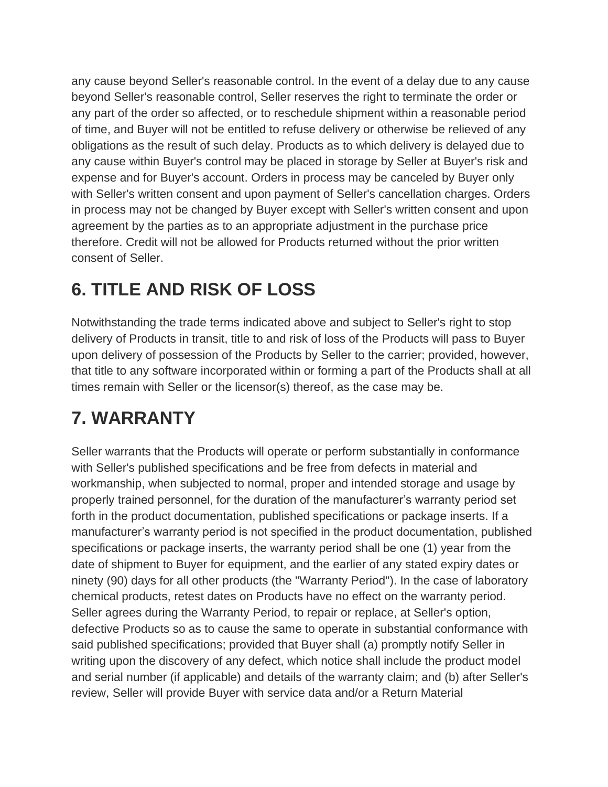any cause beyond Seller's reasonable control. In the event of a delay due to any cause beyond Seller's reasonable control, Seller reserves the right to terminate the order or any part of the order so affected, or to reschedule shipment within a reasonable period of time, and Buyer will not be entitled to refuse delivery or otherwise be relieved of any obligations as the result of such delay. Products as to which delivery is delayed due to any cause within Buyer's control may be placed in storage by Seller at Buyer's risk and expense and for Buyer's account. Orders in process may be canceled by Buyer only with Seller's written consent and upon payment of Seller's cancellation charges. Orders in process may not be changed by Buyer except with Seller's written consent and upon agreement by the parties as to an appropriate adjustment in the purchase price therefore. Credit will not be allowed for Products returned without the prior written consent of Seller.

# **6. TITLE AND RISK OF LOSS**

Notwithstanding the trade terms indicated above and subject to Seller's right to stop delivery of Products in transit, title to and risk of loss of the Products will pass to Buyer upon delivery of possession of the Products by Seller to the carrier; provided, however, that title to any software incorporated within or forming a part of the Products shall at all times remain with Seller or the licensor(s) thereof, as the case may be.

### **7. WARRANTY**

Seller warrants that the Products will operate or perform substantially in conformance with Seller's published specifications and be free from defects in material and workmanship, when subjected to normal, proper and intended storage and usage by properly trained personnel, for the duration of the manufacturer's warranty period set forth in the product documentation, published specifications or package inserts. If a manufacturer's warranty period is not specified in the product documentation, published specifications or package inserts, the warranty period shall be one (1) year from the date of shipment to Buyer for equipment, and the earlier of any stated expiry dates or ninety (90) days for all other products (the "Warranty Period"). In the case of laboratory chemical products, retest dates on Products have no effect on the warranty period. Seller agrees during the Warranty Period, to repair or replace, at Seller's option, defective Products so as to cause the same to operate in substantial conformance with said published specifications; provided that Buyer shall (a) promptly notify Seller in writing upon the discovery of any defect, which notice shall include the product model and serial number (if applicable) and details of the warranty claim; and (b) after Seller's review, Seller will provide Buyer with service data and/or a Return Material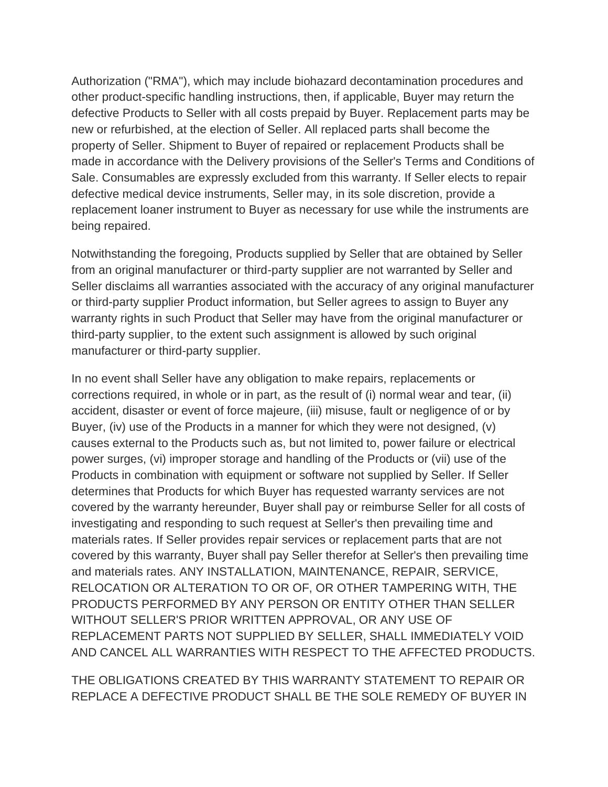Authorization ("RMA"), which may include biohazard decontamination procedures and other product-specific handling instructions, then, if applicable, Buyer may return the defective Products to Seller with all costs prepaid by Buyer. Replacement parts may be new or refurbished, at the election of Seller. All replaced parts shall become the property of Seller. Shipment to Buyer of repaired or replacement Products shall be made in accordance with the Delivery provisions of the Seller's Terms and Conditions of Sale. Consumables are expressly excluded from this warranty. If Seller elects to repair defective medical device instruments, Seller may, in its sole discretion, provide a replacement loaner instrument to Buyer as necessary for use while the instruments are being repaired.

Notwithstanding the foregoing, Products supplied by Seller that are obtained by Seller from an original manufacturer or third-party supplier are not warranted by Seller and Seller disclaims all warranties associated with the accuracy of any original manufacturer or third-party supplier Product information, but Seller agrees to assign to Buyer any warranty rights in such Product that Seller may have from the original manufacturer or third-party supplier, to the extent such assignment is allowed by such original manufacturer or third-party supplier.

In no event shall Seller have any obligation to make repairs, replacements or corrections required, in whole or in part, as the result of (i) normal wear and tear, (ii) accident, disaster or event of force majeure, (iii) misuse, fault or negligence of or by Buyer, (iv) use of the Products in a manner for which they were not designed, (v) causes external to the Products such as, but not limited to, power failure or electrical power surges, (vi) improper storage and handling of the Products or (vii) use of the Products in combination with equipment or software not supplied by Seller. If Seller determines that Products for which Buyer has requested warranty services are not covered by the warranty hereunder, Buyer shall pay or reimburse Seller for all costs of investigating and responding to such request at Seller's then prevailing time and materials rates. If Seller provides repair services or replacement parts that are not covered by this warranty, Buyer shall pay Seller therefor at Seller's then prevailing time and materials rates. ANY INSTALLATION, MAINTENANCE, REPAIR, SERVICE, RELOCATION OR ALTERATION TO OR OF, OR OTHER TAMPERING WITH, THE PRODUCTS PERFORMED BY ANY PERSON OR ENTITY OTHER THAN SELLER WITHOUT SELLER'S PRIOR WRITTEN APPROVAL, OR ANY USE OF REPLACEMENT PARTS NOT SUPPLIED BY SELLER, SHALL IMMEDIATELY VOID AND CANCEL ALL WARRANTIES WITH RESPECT TO THE AFFECTED PRODUCTS.

THE OBLIGATIONS CREATED BY THIS WARRANTY STATEMENT TO REPAIR OR REPLACE A DEFECTIVE PRODUCT SHALL BE THE SOLE REMEDY OF BUYER IN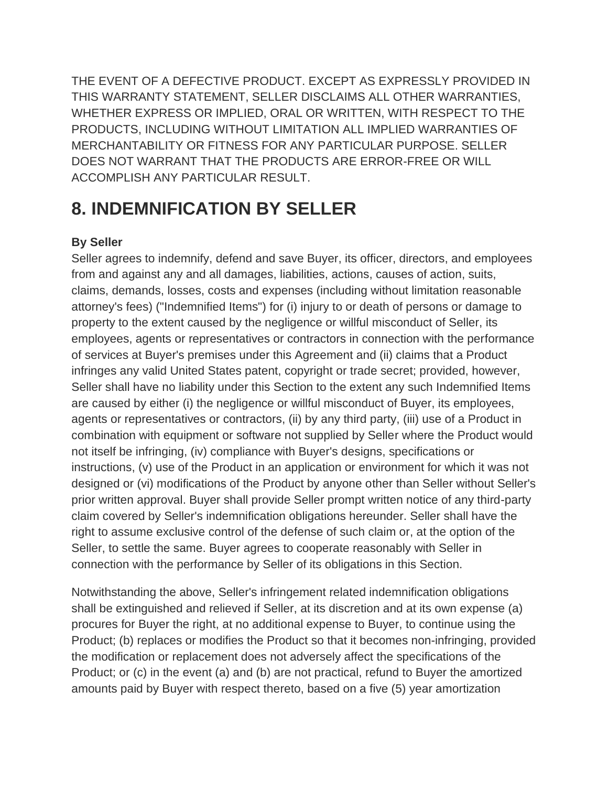THE EVENT OF A DEFECTIVE PRODUCT. EXCEPT AS EXPRESSLY PROVIDED IN THIS WARRANTY STATEMENT, SELLER DISCLAIMS ALL OTHER WARRANTIES, WHETHER EXPRESS OR IMPLIED, ORAL OR WRITTEN, WITH RESPECT TO THE PRODUCTS, INCLUDING WITHOUT LIMITATION ALL IMPLIED WARRANTIES OF MERCHANTABILITY OR FITNESS FOR ANY PARTICULAR PURPOSE. SELLER DOES NOT WARRANT THAT THE PRODUCTS ARE ERROR-FREE OR WILL ACCOMPLISH ANY PARTICULAR RESULT.

### **8. INDEMNIFICATION BY SELLER**

#### **By Seller**

Seller agrees to indemnify, defend and save Buyer, its officer, directors, and employees from and against any and all damages, liabilities, actions, causes of action, suits, claims, demands, losses, costs and expenses (including without limitation reasonable attorney's fees) ("Indemnified Items") for (i) injury to or death of persons or damage to property to the extent caused by the negligence or willful misconduct of Seller, its employees, agents or representatives or contractors in connection with the performance of services at Buyer's premises under this Agreement and (ii) claims that a Product infringes any valid United States patent, copyright or trade secret; provided, however, Seller shall have no liability under this Section to the extent any such Indemnified Items are caused by either (i) the negligence or willful misconduct of Buyer, its employees, agents or representatives or contractors, (ii) by any third party, (iii) use of a Product in combination with equipment or software not supplied by Seller where the Product would not itself be infringing, (iv) compliance with Buyer's designs, specifications or instructions, (v) use of the Product in an application or environment for which it was not designed or (vi) modifications of the Product by anyone other than Seller without Seller's prior written approval. Buyer shall provide Seller prompt written notice of any third-party claim covered by Seller's indemnification obligations hereunder. Seller shall have the right to assume exclusive control of the defense of such claim or, at the option of the Seller, to settle the same. Buyer agrees to cooperate reasonably with Seller in connection with the performance by Seller of its obligations in this Section.

Notwithstanding the above, Seller's infringement related indemnification obligations shall be extinguished and relieved if Seller, at its discretion and at its own expense (a) procures for Buyer the right, at no additional expense to Buyer, to continue using the Product; (b) replaces or modifies the Product so that it becomes non-infringing, provided the modification or replacement does not adversely affect the specifications of the Product; or (c) in the event (a) and (b) are not practical, refund to Buyer the amortized amounts paid by Buyer with respect thereto, based on a five (5) year amortization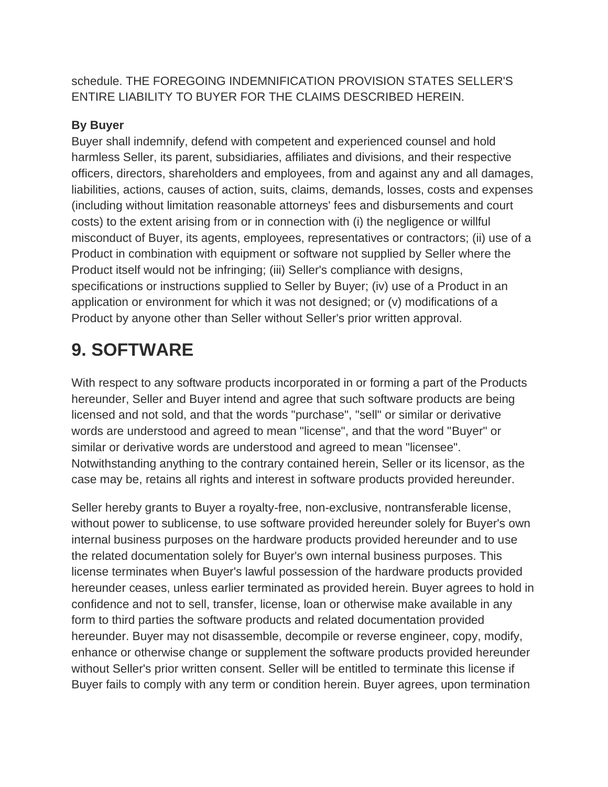schedule. THE FOREGOING INDEMNIFICATION PROVISION STATES SELLER'S ENTIRE LIABILITY TO BUYER FOR THE CLAIMS DESCRIBED HEREIN.

#### **By Buyer**

Buyer shall indemnify, defend with competent and experienced counsel and hold harmless Seller, its parent, subsidiaries, affiliates and divisions, and their respective officers, directors, shareholders and employees, from and against any and all damages, liabilities, actions, causes of action, suits, claims, demands, losses, costs and expenses (including without limitation reasonable attorneys' fees and disbursements and court costs) to the extent arising from or in connection with (i) the negligence or willful misconduct of Buyer, its agents, employees, representatives or contractors; (ii) use of a Product in combination with equipment or software not supplied by Seller where the Product itself would not be infringing; (iii) Seller's compliance with designs, specifications or instructions supplied to Seller by Buyer; (iv) use of a Product in an application or environment for which it was not designed; or (v) modifications of a Product by anyone other than Seller without Seller's prior written approval.

### **9. SOFTWARE**

With respect to any software products incorporated in or forming a part of the Products hereunder, Seller and Buyer intend and agree that such software products are being licensed and not sold, and that the words "purchase", "sell" or similar or derivative words are understood and agreed to mean "license", and that the word "Buyer" or similar or derivative words are understood and agreed to mean "licensee". Notwithstanding anything to the contrary contained herein, Seller or its licensor, as the case may be, retains all rights and interest in software products provided hereunder.

Seller hereby grants to Buyer a royalty-free, non-exclusive, nontransferable license, without power to sublicense, to use software provided hereunder solely for Buyer's own internal business purposes on the hardware products provided hereunder and to use the related documentation solely for Buyer's own internal business purposes. This license terminates when Buyer's lawful possession of the hardware products provided hereunder ceases, unless earlier terminated as provided herein. Buyer agrees to hold in confidence and not to sell, transfer, license, loan or otherwise make available in any form to third parties the software products and related documentation provided hereunder. Buyer may not disassemble, decompile or reverse engineer, copy, modify, enhance or otherwise change or supplement the software products provided hereunder without Seller's prior written consent. Seller will be entitled to terminate this license if Buyer fails to comply with any term or condition herein. Buyer agrees, upon termination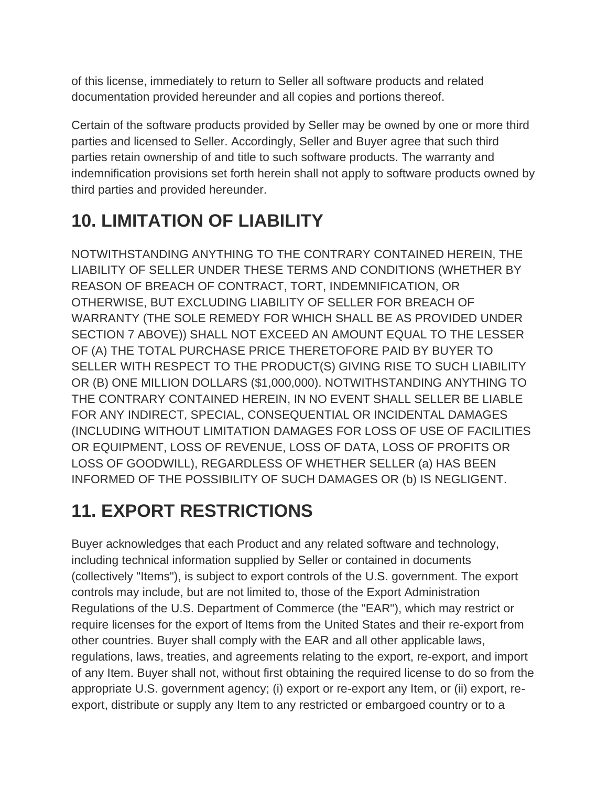of this license, immediately to return to Seller all software products and related documentation provided hereunder and all copies and portions thereof.

Certain of the software products provided by Seller may be owned by one or more third parties and licensed to Seller. Accordingly, Seller and Buyer agree that such third parties retain ownership of and title to such software products. The warranty and indemnification provisions set forth herein shall not apply to software products owned by third parties and provided hereunder.

# **10. LIMITATION OF LIABILITY**

NOTWITHSTANDING ANYTHING TO THE CONTRARY CONTAINED HEREIN, THE LIABILITY OF SELLER UNDER THESE TERMS AND CONDITIONS (WHETHER BY REASON OF BREACH OF CONTRACT, TORT, INDEMNIFICATION, OR OTHERWISE, BUT EXCLUDING LIABILITY OF SELLER FOR BREACH OF WARRANTY (THE SOLE REMEDY FOR WHICH SHALL BE AS PROVIDED UNDER SECTION 7 ABOVE)) SHALL NOT EXCEED AN AMOUNT EQUAL TO THE LESSER OF (A) THE TOTAL PURCHASE PRICE THERETOFORE PAID BY BUYER TO SELLER WITH RESPECT TO THE PRODUCT(S) GIVING RISE TO SUCH LIABILITY OR (B) ONE MILLION DOLLARS (\$1,000,000). NOTWITHSTANDING ANYTHING TO THE CONTRARY CONTAINED HEREIN, IN NO EVENT SHALL SELLER BE LIABLE FOR ANY INDIRECT, SPECIAL, CONSEQUENTIAL OR INCIDENTAL DAMAGES (INCLUDING WITHOUT LIMITATION DAMAGES FOR LOSS OF USE OF FACILITIES OR EQUIPMENT, LOSS OF REVENUE, LOSS OF DATA, LOSS OF PROFITS OR LOSS OF GOODWILL), REGARDLESS OF WHETHER SELLER (a) HAS BEEN INFORMED OF THE POSSIBILITY OF SUCH DAMAGES OR (b) IS NEGLIGENT.

# **11. EXPORT RESTRICTIONS**

Buyer acknowledges that each Product and any related software and technology, including technical information supplied by Seller or contained in documents (collectively "Items"), is subject to export controls of the U.S. government. The export controls may include, but are not limited to, those of the Export Administration Regulations of the U.S. Department of Commerce (the "EAR"), which may restrict or require licenses for the export of Items from the United States and their re-export from other countries. Buyer shall comply with the EAR and all other applicable laws, regulations, laws, treaties, and agreements relating to the export, re-export, and import of any Item. Buyer shall not, without first obtaining the required license to do so from the appropriate U.S. government agency; (i) export or re-export any Item, or (ii) export, reexport, distribute or supply any Item to any restricted or embargoed country or to a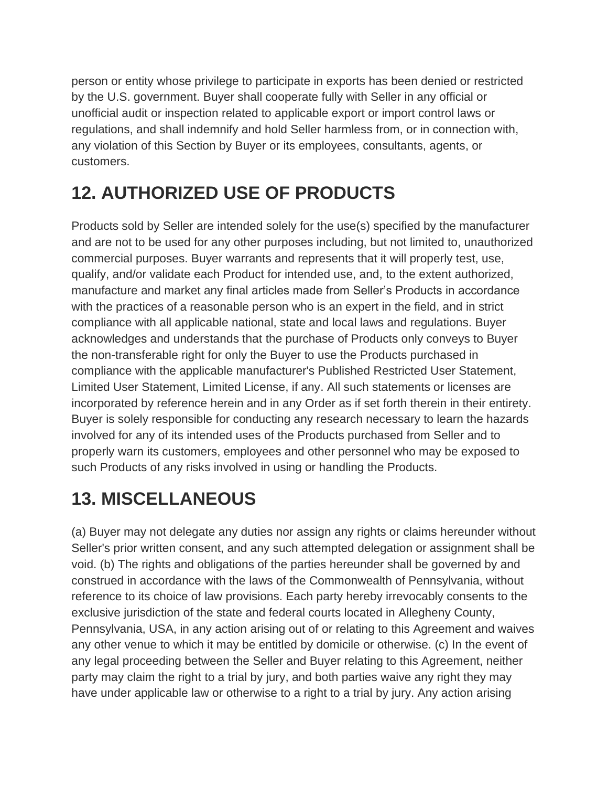person or entity whose privilege to participate in exports has been denied or restricted by the U.S. government. Buyer shall cooperate fully with Seller in any official or unofficial audit or inspection related to applicable export or import control laws or regulations, and shall indemnify and hold Seller harmless from, or in connection with, any violation of this Section by Buyer or its employees, consultants, agents, or customers.

# **12. AUTHORIZED USE OF PRODUCTS**

Products sold by Seller are intended solely for the use(s) specified by the manufacturer and are not to be used for any other purposes including, but not limited to, unauthorized commercial purposes. Buyer warrants and represents that it will properly test, use, qualify, and/or validate each Product for intended use, and, to the extent authorized, manufacture and market any final articles made from Seller's Products in accordance with the practices of a reasonable person who is an expert in the field, and in strict compliance with all applicable national, state and local laws and regulations. Buyer acknowledges and understands that the purchase of Products only conveys to Buyer the non-transferable right for only the Buyer to use the Products purchased in compliance with the applicable manufacturer's Published Restricted User Statement, Limited User Statement, Limited License, if any. All such statements or licenses are incorporated by reference herein and in any Order as if set forth therein in their entirety. Buyer is solely responsible for conducting any research necessary to learn the hazards involved for any of its intended uses of the Products purchased from Seller and to properly warn its customers, employees and other personnel who may be exposed to such Products of any risks involved in using or handling the Products.

# **13. MISCELLANEOUS**

(a) Buyer may not delegate any duties nor assign any rights or claims hereunder without Seller's prior written consent, and any such attempted delegation or assignment shall be void. (b) The rights and obligations of the parties hereunder shall be governed by and construed in accordance with the laws of the Commonwealth of Pennsylvania, without reference to its choice of law provisions. Each party hereby irrevocably consents to the exclusive jurisdiction of the state and federal courts located in Allegheny County, Pennsylvania, USA, in any action arising out of or relating to this Agreement and waives any other venue to which it may be entitled by domicile or otherwise. (c) In the event of any legal proceeding between the Seller and Buyer relating to this Agreement, neither party may claim the right to a trial by jury, and both parties waive any right they may have under applicable law or otherwise to a right to a trial by jury. Any action arising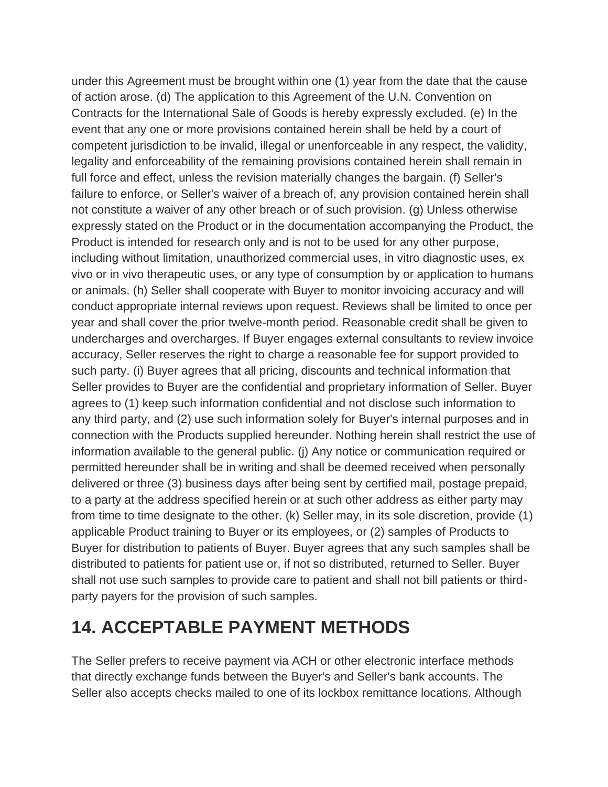under this Agreement must be brought within one (1) year from the date that the cause of action arose. (d) The application to this Agreement of the U.N. Convention on Contracts for the International Sale of Goods is hereby expressly excluded. (e) In the event that any one or more provisions contained herein shall be held by a court of competent jurisdiction to be invalid, illegal or unenforceable in any respect, the validity, legality and enforceability of the remaining provisions contained herein shall remain in full force and effect, unless the revision materially changes the bargain. (f) Seller's failure to enforce, or Seller's waiver of a breach of, any provision contained herein shall not constitute a waiver of any other breach or of such provision. (g) Unless otherwise expressly stated on the Product or in the documentation accompanying the Product, the Product is intended for research only and is not to be used for any other purpose, including without limitation, unauthorized commercial uses, in vitro diagnostic uses, ex vivo or in vivo therapeutic uses, or any type of consumption by or application to humans or animals. (h) Seller shall cooperate with Buyer to monitor invoicing accuracy and will conduct appropriate internal reviews upon request. Reviews shall be limited to once per year and shall cover the prior twelve-month period. Reasonable credit shall be given to undercharges and overcharges. If Buyer engages external consultants to review invoice accuracy, Seller reserves the right to charge a reasonable fee for support provided to such party. (i) Buyer agrees that all pricing, discounts and technical information that Seller provides to Buyer are the confidential and proprietary information of Seller. Buyer agrees to (1) keep such information confidential and not disclose such information to any third party, and (2) use such information solely for Buyer's internal purposes and in connection with the Products supplied hereunder. Nothing herein shall restrict the use of information available to the general public. (j) Any notice or communication required or permitted hereunder shall be in writing and shall be deemed received when personally delivered or three (3) business days after being sent by certified mail, postage prepaid, to a party at the address specified herein or at such other address as either party may from time to time designate to the other. (k) Seller may, in its sole discretion, provide (1) applicable Product training to Buyer or its employees, or (2) samples of Products to Buyer for distribution to patients of Buyer. Buyer agrees that any such samples shall be distributed to patients for patient use or, if not so distributed, returned to Seller. Buyer shall not use such samples to provide care to patient and shall not bill patients or thirdparty payers for the provision of such samples.

### **14. ACCEPTABLE PAYMENT METHODS**

The Seller prefers to receive payment via ACH or other electronic interface methods that directly exchange funds between the Buyer's and Seller's bank accounts. The Seller also accepts checks mailed to one of its lockbox remittance locations. Although